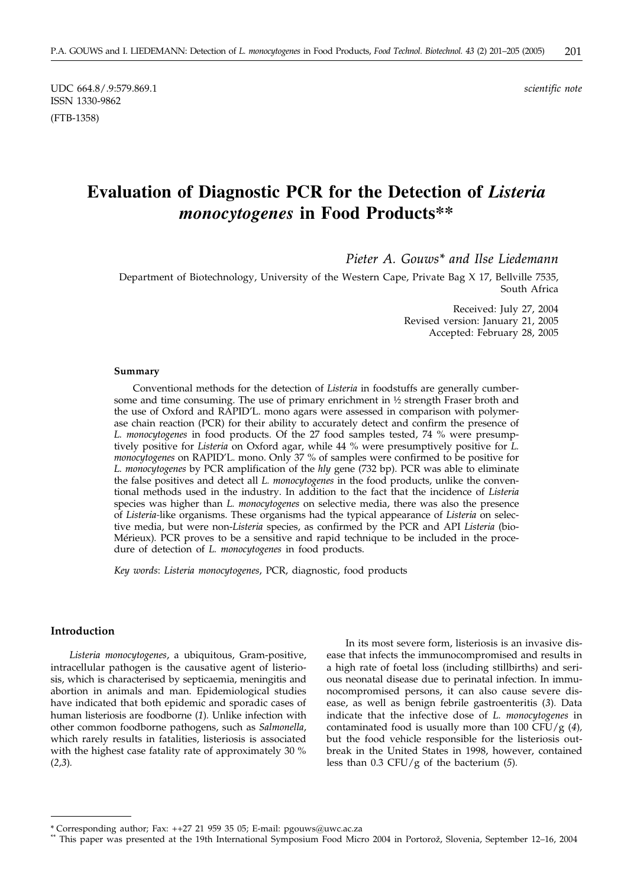UDC 664.8/.9:579.869.1 *scientific note* ISSN 1330-9862

(FTB-1358)

# **Evaluation of Diagnostic PCR for the Detection of** *Listeria monocytogenes* **in Food Products\*\***

*Pieter A. Gouws\* and Ilse Liedemann*

Department of Biotechnology, University of the Western Cape, Private Bag X 17, Bellville 7535, South Africa

> Received: July 27, 2004 Revised version: January 21, 2005 Accepted: February 28, 2005

#### **Summary**

Conventional methods for the detection of *Listeria* in foodstuffs are generally cumbersome and time consuming. The use of primary enrichment in ½ strength Fraser broth and the use of Oxford and RAPID'L. mono agars were assessed in comparison with polymerase chain reaction (PCR) for their ability to accurately detect and confirm the presence of *L. monocytogenes* in food products. Of the 27 food samples tested, 74 % were presumptively positive for *Listeria* on Oxford agar, while 44 % were presumptively positive for *L. monocytogenes* on RAPID'L. mono. Only 37 % of samples were confirmed to be positive for *L. monocytogenes* by PCR amplification of the *hly* gene (732 bp). PCR was able to eliminate the false positives and detect all *L. monocytogenes* in the food products, unlike the conventional methods used in the industry. In addition to the fact that the incidence of *Listeria* species was higher than *L. monocytogenes* on selective media, there was also the presence of *Listeria-*like organisms. These organisms had the typical appearance of *Listeria* on selective media, but were non-*Listeria* species, as confirmed by the PCR and API *Listeria* (bio-Mérieux)*.* PCR proves to be a sensitive and rapid technique to be included in the procedure of detection of *L. monocytogenes* in food products.

*Key words*: *Listeria monocytogenes*, PCR, diagnostic, food products

## **Introduction**

*Listeria monocytogenes*, a ubiquitous, Gram-positive, intracellular pathogen is the causative agent of listeriosis, which is characterised by septicaemia, meningitis and abortion in animals and man. Epidemiological studies have indicated that both epidemic and sporadic cases of human listeriosis are foodborne (*1*)*.* Unlike infection with other common foodborne pathogens, such as *Salmonella*, which rarely results in fatalities, listeriosis is associated with the highest case fatality rate of approximately 30 % (*2,3*)*.*

In its most severe form, listeriosis is an invasive disease that infects the immunocompromised and results in a high rate of foetal loss (including stillbirths) and serious neonatal disease due to perinatal infection. In immunocompromised persons, it can also cause severe disease, as well as benign febrile gastroenteritis (*3*)*.* Data indicate that the infective dose of *L. monocytogenes* in contaminated food is usually more than 100 CFU/g (*4*)*,* but the food vehicle responsible for the listeriosis outbreak in the United States in 1998, however, contained less than 0.3 CFU/g of the bacterium (*5*)*.*

<sup>\*</sup> Corresponding author; Fax: ++27 21 959 35 05; E-mail: pgouws*@*uwc.ac.za

This paper was presented at the 19th International Symposium Food Micro 2004 in Portorož, Slovenia, September 12–16, 2004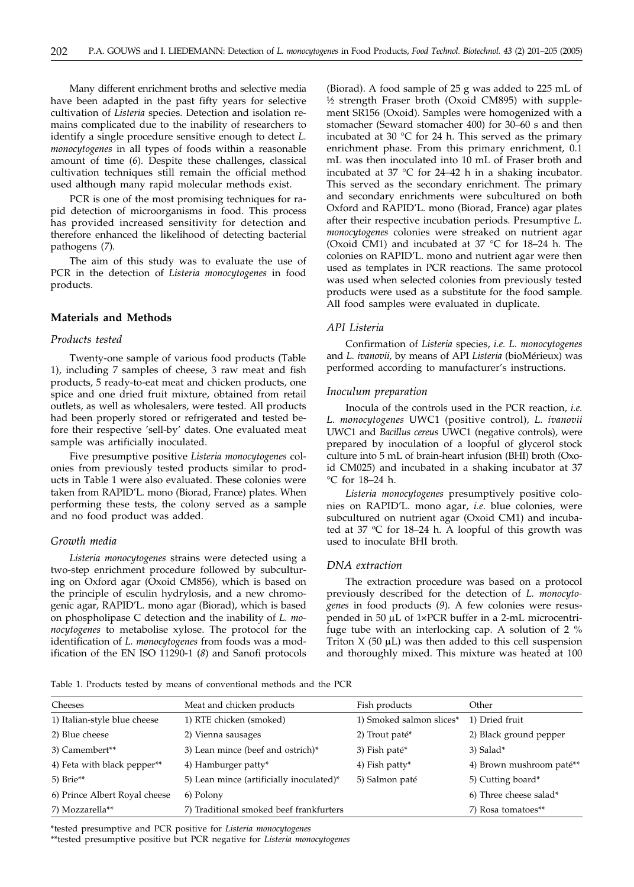Many different enrichment broths and selective media have been adapted in the past fifty years for selective cultivation of *Listeria* species. Detection and isolation remains complicated due to the inability of researchers to identify a single procedure sensitive enough to detect *L. monocytogenes* in all types of foods within a reasonable amount of time (*6*)*.* Despite these challenges, classical cultivation techniques still remain the official method used although many rapid molecular methods exist.

PCR is one of the most promising techniques for rapid detection of microorganisms in food. This process has provided increased sensitivity for detection and therefore enhanced the likelihood of detecting bacterial pathogens (*7*)*.*

The aim of this study was to evaluate the use of PCR in the detection of *Listeria monocytogenes* in food products.

## **Materials and Methods**

### *Products tested*

Twenty-one sample of various food products (Table 1), including 7 samples of cheese, 3 raw meat and fish products, 5 ready-to-eat meat and chicken products, one spice and one dried fruit mixture, obtained from retail outlets, as well as wholesalers, were tested. All products had been properly stored or refrigerated and tested before their respective 'sell-by' dates. One evaluated meat sample was artificially inoculated.

Five presumptive positive *Listeria monocytogenes* colonies from previously tested products similar to products in Table 1 were also evaluated. These colonies were taken from RAPID'L. mono (Biorad, France) plates. When performing these tests, the colony served as a sample and no food product was added.

## *Growth media*

*Listeria monocytogenes* strains were detected using a two-step enrichment procedure followed by subculturing on Oxford agar (Oxoid CM856), which is based on the principle of esculin hydrylosis, and a new chromogenic agar, RAPID'L. mono agar (Biorad), which is based on phospholipase C detection and the inability of *L. monocytogenes* to metabolise xylose. The protocol for the identification of *L. monocytogenes* from foods was a modification of the EN ISO 11290-1 (*8*) and Sanofi protocols

(Biorad). A food sample of 25 g was added to 225 mL of ½ strength Fraser broth (Oxoid CM895) with supplement SR156 (Oxoid). Samples were homogenized with a stomacher (Seward stomacher 400) for 30–60 s and then incubated at 30  $\degree$ C for 24 h. This served as the primary enrichment phase. From this primary enrichment, 0.1 mL was then inoculated into 10 mL of Fraser broth and incubated at 37 °C for 24–42 h in a shaking incubator. This served as the secondary enrichment. The primary and secondary enrichments were subcultured on both Oxford and RAPID'L. mono (Biorad, France) agar plates after their respective incubation periods. Presumptive *L. monocytogenes* colonies were streaked on nutrient agar (Oxoid CM1) and incubated at 37 °C for 18–24 h. The colonies on RAPID'L. mono and nutrient agar were then used as templates in PCR reactions. The same protocol was used when selected colonies from previously tested products were used as a substitute for the food sample. All food samples were evaluated in duplicate.

#### *API Listeria*

Confirmation of *Listeria* species, *i.e. L. monocytogenes* and *L. ivanovii,* by means of API *Listeria* (bioMérieux) was performed according to manufacturer's instructions.

#### *Inoculum preparation*

Inocula of the controls used in the PCR reaction, *i.e. L. monocytogenes* UWC1 (positive control)*, L. ivanovii* UWC1 and *Bacillus cereus* UWC1 (negative controls), were prepared by inoculation of a loopful of glycerol stock culture into 5 mL of brain-heart infusion (BHI) broth (Oxoid CM025) and incubated in a shaking incubator at 37 °C for 18–24 h.

*Listeria monocytogenes* presumptively positive colonies on RAPID'L. mono agar, *i.e.* blue colonies, were subcultured on nutrient agar (Oxoid CM1) and incubated at 37  $\degree$ C for 18–24 h. A loopful of this growth was used to inoculate BHI broth.

#### *DNA extraction*

The extraction procedure was based on a protocol previously described for the detection of *L. monocytogenes* in food products (*9*)*.* A few colonies were resuspended in 50 µL of 1×PCR buffer in a 2-mL microcentrifuge tube with an interlocking cap. A solution of 2 % Triton  $X$  (50  $\mu$ L) was then added to this cell suspension and thoroughly mixed. This mixture was heated at 100

Table 1. Products tested by means of conventional methods and the PCR

| Cheeses                       | Meat and chicken products                | Fish products            | Other                    |
|-------------------------------|------------------------------------------|--------------------------|--------------------------|
| 1) Italian-style blue cheese  | 1) RTE chicken (smoked)                  | 1) Smoked salmon slices* | 1) Dried fruit           |
| 2) Blue cheese                | 2) Vienna sausages                       | 2) Trout paté*           | 2) Black ground pepper   |
| 3) Camembert**                | 3) Lean mince (beef and ostrich)*        | 3) Fish paté*            | 3) Salad*                |
| 4) Feta with black pepper**   | 4) Hamburger patty*                      | 4) Fish patty*           | 4) Brown mushroom paté** |
| 5) Brie $**$                  | 5) Lean mince (artificially inoculated)* | 5) Salmon paté           | 5) Cutting board*        |
| 6) Prince Albert Royal cheese | 6) Polony                                |                          | 6) Three cheese salad*   |
| 7) Mozzarella**               | 7) Traditional smoked beef frankfurters  |                          | 7) Rosa tomatoes**       |
|                               |                                          |                          |                          |

\*tested presumptive and PCR positive for *Listeria monocytogenes*

\*\*tested presumptive positive but PCR negative for *Listeria monocytogenes*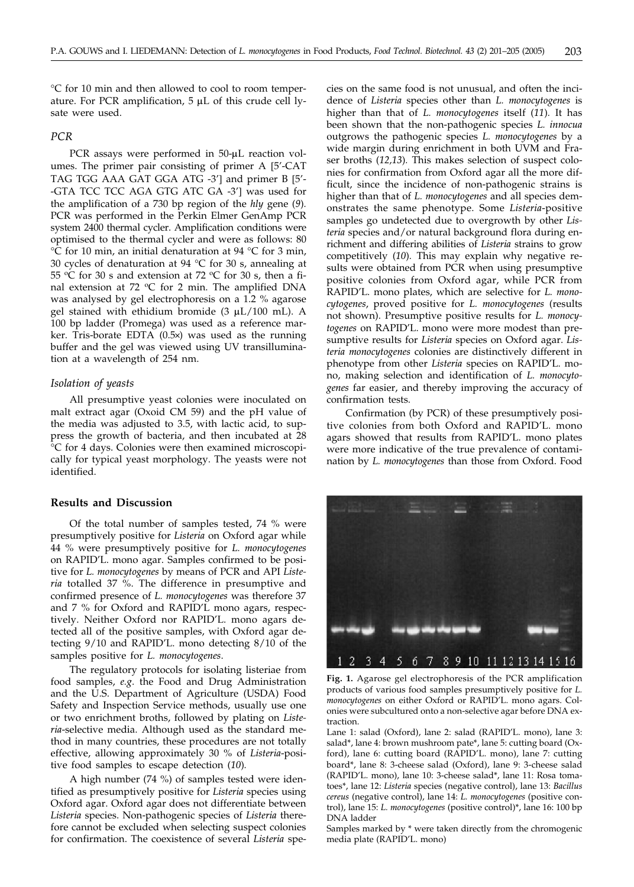°C for 10 min and then allowed to cool to room temperature. For PCR amplification,  $5 \mu L$  of this crude cell lysate were used.

## *PCR*

PCR assays were performed in 50-µL reaction volumes. The primer pair consisting of primer A [5'-CAT TAG TGG AAA GAT GGA ATG -3'] and primer B [5'--GTA TCC TCC AGA GTG ATC GA -3'] was used for the amplification of a 730 bp region of the *hly* gene (*9*)*.* PCR was performed in the Perkin Elmer GenAmp PCR system 2400 thermal cycler. Amplification conditions were optimised to the thermal cycler and were as follows: 80 °C for 10 min, an initial denaturation at 94 °C for 3 min, 30 cycles of denaturation at 94 °C for 30 s, annealing at 55 °C for 30 s and extension at 72 °C for 30 s, then a final extension at 72  $\rm{^{\circ}C}$  for 2 min. The amplified DNA was analysed by gel electrophoresis on a 1.2 % agarose gel stained with ethidium bromide  $(3 \mu L/100 \text{ mL})$ . A 100 bp ladder (Promega) was used as a reference marker. Tris-borate EDTA  $(0.5x)$  was used as the running buffer and the gel was viewed using UV transillumination at a wavelength of 254 nm.

#### *Isolation of yeasts*

All presumptive yeast colonies were inoculated on malt extract agar (Oxoid CM 59) and the pH value of the media was adjusted to 3.5, with lactic acid, to suppress the growth of bacteria, and then incubated at 28 °C for 4 days. Colonies were then examined microscopically for typical yeast morphology. The yeasts were not identified.

## **Results and Discussion**

Of the total number of samples tested, 74 % were presumptively positive for *Listeria* on Oxford agar while 44 % were presumptively positive for *L. monocytogenes* on RAPID'L. mono agar. Samples confirmed to be positive for *L. monocytogenes* by means of PCR and API *Listeria* totalled 37 %. The difference in presumptive and confirmed presence of *L. monocytogenes* was therefore 37 and 7 % for Oxford and RAPID'L mono agars, respectively. Neither Oxford nor RAPID'L. mono agars detected all of the positive samples, with Oxford agar detecting 9/10 and RAPID'L. mono detecting 8/10 of the samples positive for *L. monocytogenes*.

The regulatory protocols for isolating listeriae from food samples, *e.g*. the Food and Drug Administration and the U.S. Department of Agriculture (USDA) Food Safety and Inspection Service methods, usually use one or two enrichment broths, followed by plating on *Listeria*-selective media. Although used as the standard method in many countries, these procedures are not totally effective, allowing approximately 30 % of *Listeria*-positive food samples to escape detection (*10*)*.*

A high number (74 %) of samples tested were identified as presumptively positive for *Listeria* species using Oxford agar. Oxford agar does not differentiate between *Listeria* species. Non-pathogenic species of *Listeria* therefore cannot be excluded when selecting suspect colonies for confirmation. The coexistence of several *Listeria* species on the same food is not unusual, and often the incidence of *Listeria* species other than *L. monocytogenes* is higher than that of *L. monocytogenes* itself (*11*)*.* It has been shown that the non-pathogenic species *L. innocua* outgrows the pathogenic species *L. monocytogenes* by a wide margin during enrichment in both UVM and Fraser broths (*12,13*)*.* This makes selection of suspect colonies for confirmation from Oxford agar all the more difficult, since the incidence of non-pathogenic strains is higher than that of *L. monocytogenes* and all species demonstrates the same phenotype. Some *Listeria*-positive samples go undetected due to overgrowth by other *Listeria* species and/or natural background flora during enrichment and differing abilities of *Listeria* strains to grow competitively (*10*)*.* This may explain why negative results were obtained from PCR when using presumptive positive colonies from Oxford agar, while PCR from RAPID'L. mono plates, which are selective for *L. monocytogenes*, proved positive for *L. monocytogenes* (results not shown). Presumptive positive results for *L. monocytogenes* on RAPID'L. mono were more modest than presumptive results for *Listeria* species on Oxford agar. *Listeria monocytogenes* colonies are distinctively different in phenotype from other *Listeria* species on RAPID'L. mono, making selection and identification of *L. monocytogenes* far easier, and thereby improving the accuracy of confirmation tests.

Confirmation (by PCR) of these presumptively positive colonies from both Oxford and RAPID'L. mono agars showed that results from RAPID'L. mono plates were more indicative of the true prevalence of contamination by *L. monocytogenes* than those from Oxford. Food



**Fig. 1.** Agarose gel electrophoresis of the PCR amplification products of various food samples presumptively positive for *L. monocytogenes* on either Oxford or RAPID'L. mono agars. Colonies were subcultured onto a non-selective agar before DNA extraction.

Lane 1: salad (Oxford), lane 2: salad (RAPID'L. mono), lane 3: salad\*, lane 4: brown mushroom pate\*, lane 5: cutting board (Oxford), lane 6: cutting board (RAPID'L. mono), lane 7: cutting board\*, lane 8: 3-cheese salad (Oxford), lane 9: 3-cheese salad (RAPID'L. mono), lane 10: 3-cheese salad\*, lane 11: Rosa tomatoes\*, lane 12: *Listeria* species (negative control), lane 13: *Bacillus cereus* (negative control), lane 14: *L. monocytogenes* (positive control), lane 15: *L. monocytogenes* (positive control)\*, lane 16: 100 bp DNA ladder

Samples marked by \* were taken directly from the chromogenic media plate (RAPID'L. mono)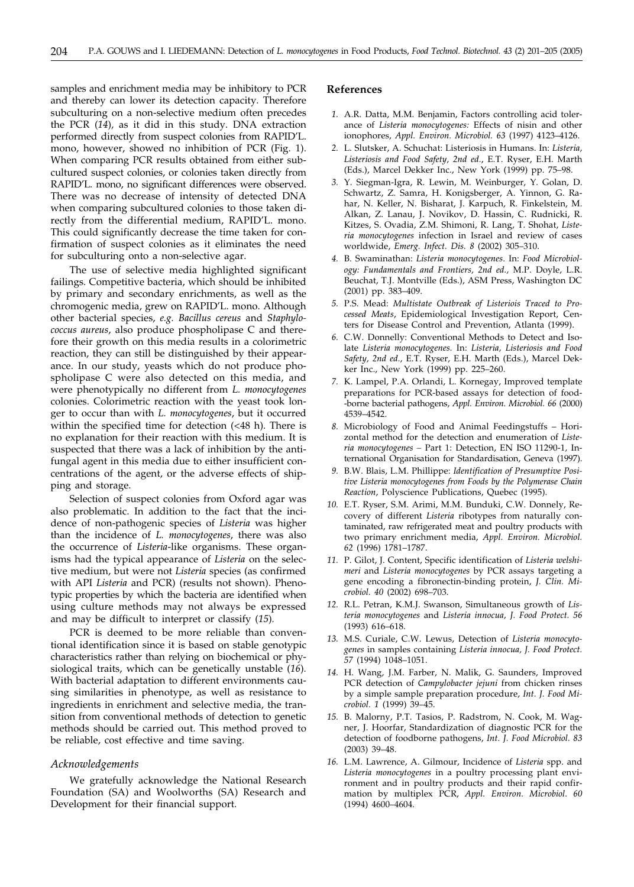samples and enrichment media may be inhibitory to PCR and thereby can lower its detection capacity. Therefore subculturing on a non-selective medium often precedes the PCR (*14*)*,* as it did in this study. DNA extraction performed directly from suspect colonies from RAPID'L. mono, however, showed no inhibition of PCR (Fig. 1). When comparing PCR results obtained from either subcultured suspect colonies, or colonies taken directly from RAPID'L. mono, no significant differences were observed. There was no decrease of intensity of detected DNA when comparing subcultured colonies to those taken directly from the differential medium, RAPID'L. mono. This could significantly decrease the time taken for confirmation of suspect colonies as it eliminates the need for subculturing onto a non-selective agar.

The use of selective media highlighted significant failings. Competitive bacteria, which should be inhibited by primary and secondary enrichments, as well as the chromogenic media, grew on RAPID'L. mono. Although other bacterial species, *e.g. Bacillus cereus* and *Staphylococcus aureus*, also produce phospholipase C and therefore their growth on this media results in a colorimetric reaction, they can still be distinguished by their appearance. In our study, yeasts which do not produce phospholipase C were also detected on this media, and were phenotypically no different from *L. monocytogenes* colonies. Colorimetric reaction with the yeast took longer to occur than with *L. monocytogenes*, but it occurred within the specified time for detection (<48 h). There is no explanation for their reaction with this medium. It is suspected that there was a lack of inhibition by the antifungal agent in this media due to either insufficient concentrations of the agent, or the adverse effects of shipping and storage.

Selection of suspect colonies from Oxford agar was also problematic. In addition to the fact that the incidence of non-pathogenic species of *Listeria* was higher than the incidence of *L. monocytogenes*, there was also the occurrence of *Listeria*-like organisms. These organisms had the typical appearance of *Listeria* on the selective medium, but were not *Listeria* species (as confirmed with API *Listeria* and PCR) (results not shown). Phenotypic properties by which the bacteria are identified when using culture methods may not always be expressed and may be difficult to interpret or classify (*15*)*.*

PCR is deemed to be more reliable than conventional identification since it is based on stable genotypic characteristics rather than relying on biochemical or physiological traits, which can be genetically unstable (*16*)*.* With bacterial adaptation to different environments causing similarities in phenotype, as well as resistance to ingredients in enrichment and selective media, the transition from conventional methods of detection to genetic methods should be carried out. This method proved to be reliable, cost effective and time saving.

#### *Acknowledgements*

We gratefully acknowledge the National Research Foundation (SA) and Woolworths (SA) Research and Development for their financial support.

## **References**

- *1.* A.R. Datta, M.M. Benjamin, Factors controlling acid tolerance of *Listeria monocytogenes:* Effects of nisin and other ionophores, *Appl. Environ. Microbiol. 63* (1997) 4123–4126.
- *2.* L. Slutsker, A. Schuchat: Listeriosis in Humans. In: *Listeria, Listeriosis and Food Safety, 2nd ed.*, E.T. Ryser, E.H. Marth (Eds.), Marcel Dekker Inc., New York (1999) pp. 75–98.
- *3.* Y. Siegman-Igra, R. Lewin, M. Weinburger, Y. Golan, D. Schwartz, Z. Samra, H. Konigsberger, A. Yinnon, G. Rahar, N. Keller, N. Bisharat, J. Karpuch, R. Finkelstein, M. Alkan, Z. Lanau, J. Novikov, D. Hassin, C. Rudnicki, R. Kitzes, S. Ovadia, Z.M. Shimoni, R. Lang, T. Shohat, *Listeria monocytogenes* infection in Israel and review of cases worldwide, *Emerg. Infect. Dis. 8* (2002) 305–310.
- *4.* B. Swaminathan: *Listeria monocytogenes*. In: *Food Microbiology: Fundamentals and Frontiers, 2nd ed.,* M.P. Doyle, L.R. Beuchat, T.J. Montville (Eds.), ASM Press, Washington DC (2001) pp. 383–409.
- *5.* P.S. Mead: *Multistate Outbreak of Listeriois Traced to Processed Meats*, Epidemiological Investigation Report, Centers for Disease Control and Prevention, Atlanta (1999).
- *6.* C.W. Donnelly: Conventional Methods to Detect and Isolate *Listeria monocytogenes.* In: *Listeria, Listeriosis and Food Safety, 2nd ed.,* E.T. Ryser, E.H. Marth (Eds.), Marcel Dekker Inc., New York (1999) pp. 225–260.
- *7.* K. Lampel, P.A. Orlandi, L. Kornegay, Improved template preparations for PCR-based assays for detection of food- -borne bacterial pathogens, *Appl. Environ. Microbiol. 66* (2000) 4539–4542.
- *8.* Microbiology of Food and Animal Feedingstuffs Horizontal method for the detection and enumeration of *Listeria monocytogenes –* Part 1: Detection, EN ISO 11290-1*,* International Organisation for Standardisation, Geneva (1997).
- *9.* B.W. Blais, L.M. Phillippe: *Identification of Presumptive Positive Listeria monocytogenes from Foods by the Polymerase Chain Reaction*, Polyscience Publications, Quebec (1995).
- *10.* E.T. Ryser, S.M. Arimi, M.M. Bunduki, C.W. Donnely, Recovery of different *Listeria* ribotypes from naturally contaminated, raw refrigerated meat and poultry products with two primary enrichment media, *Appl. Environ. Microbiol. 62* (1996) 1781–1787.
- *11.* P. Gilot, J. Content, Specific identification of *Listeria welshimeri* and *Listeria monocytogenes* by PCR assays targeting a gene encoding a fibronectin-binding protein, *J. Clin. Microbiol. 40* (2002) 698–703.
- *12.* R.L. Petran, K.M.J. Swanson, Simultaneous growth of *Listeria monocytogenes* and *Listeria innocua, J. Food Protect. 56* (1993) 616–618.
- *13.* M.S. Curiale, C.W. Lewus, Detection of *Listeria monocytogenes* in samples containing *Listeria innocua, J. Food Protect. 57* (1994) 1048–1051.
- *14.* H. Wang, J.M. Farber, N. Malik, G. Saunders, Improved PCR detection of *Campylobacter jejuni* from chicken rinses by a simple sample preparation procedure, *Int. J. Food Microbiol. 1* (1999) 39–45.
- *15.* B. Malorny, P.T. Tasios, P. Radstrom, N. Cook, M. Wagner, J. Hoorfar, Standardization of diagnostic PCR for the detection of foodborne pathogens, *Int. J. Food Microbiol. 83* (2003) 39–48.
- *16.* L.M. Lawrence, A. Gilmour, Incidence of *Listeria* spp. and *Listeria monocytogenes* in a poultry processing plant environment and in poultry products and their rapid confirmation by multiplex PCR, *Appl. Environ. Microbiol. 60* (1994) 4600–4604.